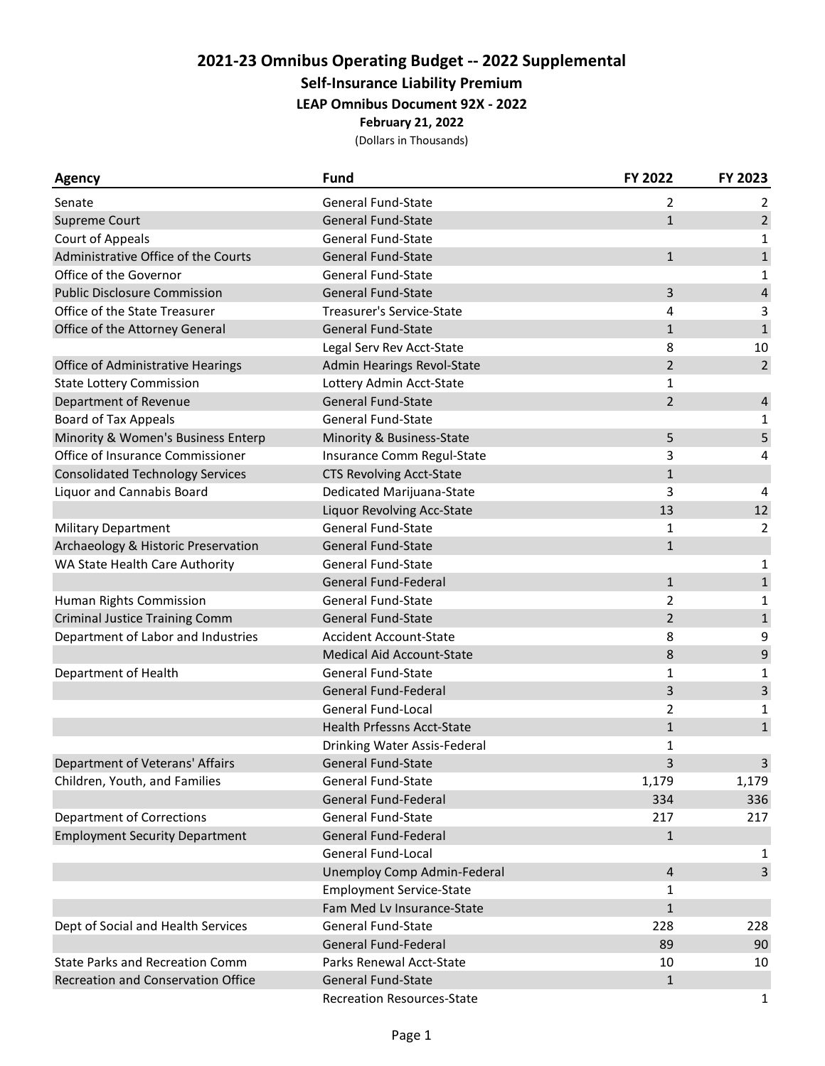## **2021-23 Omnibus Operating Budget -- 2022 Supplemental**

**Self-Insurance Liability Premium**

**LEAP Omnibus Document 92X - 2022**

**February 21, 2022**

(Dollars in Thousands)

| Agency                                  | <b>Fund</b>                       | FY 2022        | FY 2023        |
|-----------------------------------------|-----------------------------------|----------------|----------------|
| Senate                                  | <b>General Fund-State</b>         | 2              | 2              |
| Supreme Court                           | <b>General Fund-State</b>         | $\mathbf{1}$   | $\overline{2}$ |
| <b>Court of Appeals</b>                 | <b>General Fund-State</b>         |                | 1              |
| Administrative Office of the Courts     | <b>General Fund-State</b>         | $\mathbf{1}$   | $\mathbf 1$    |
| Office of the Governor                  | <b>General Fund-State</b>         |                | 1              |
| <b>Public Disclosure Commission</b>     | <b>General Fund-State</b>         | 3              | $\overline{a}$ |
| Office of the State Treasurer           | <b>Treasurer's Service-State</b>  | 4              | 3              |
| Office of the Attorney General          | <b>General Fund-State</b>         | $\mathbf{1}$   | $\mathbf{1}$   |
|                                         | Legal Serv Rev Acct-State         | 8              | 10             |
| Office of Administrative Hearings       | Admin Hearings Revol-State        | $\overline{2}$ | $\overline{2}$ |
| <b>State Lottery Commission</b>         | Lottery Admin Acct-State          | $\mathbf{1}$   |                |
| Department of Revenue                   | General Fund-State                | $\overline{2}$ | $\overline{4}$ |
| <b>Board of Tax Appeals</b>             | <b>General Fund-State</b>         |                | 1              |
| Minority & Women's Business Enterp      | Minority & Business-State         | 5              | 5              |
| Office of Insurance Commissioner        | Insurance Comm Regul-State        | 3              | 4              |
| <b>Consolidated Technology Services</b> | <b>CTS Revolving Acct-State</b>   | $\mathbf{1}$   |                |
| Liquor and Cannabis Board               | Dedicated Marijuana-State         | 3              | 4              |
|                                         | Liquor Revolving Acc-State        | 13             | 12             |
| <b>Military Department</b>              | General Fund-State                | 1              | 2              |
| Archaeology & Historic Preservation     | <b>General Fund-State</b>         | $\mathbf{1}$   |                |
| WA State Health Care Authority          | <b>General Fund-State</b>         |                | 1              |
|                                         | General Fund-Federal              | $\mathbf{1}$   | $\mathbf 1$    |
| Human Rights Commission                 | <b>General Fund-State</b>         | 2              | 1              |
| <b>Criminal Justice Training Comm</b>   | <b>General Fund-State</b>         | $\overline{2}$ | $\mathbf 1$    |
| Department of Labor and Industries      | <b>Accident Account-State</b>     | 8              | 9              |
|                                         | <b>Medical Aid Account-State</b>  | 8              | $\mathsf 9$    |
| Department of Health                    | <b>General Fund-State</b>         | $\mathbf{1}$   | 1              |
|                                         | General Fund-Federal              | 3              | 3              |
|                                         | General Fund-Local                | $\overline{2}$ | 1              |
|                                         | <b>Health Prfessns Acct-State</b> | $\mathbf{1}$   | $\mathbf 1$    |
|                                         | Drinking Water Assis-Federal      | 1              |                |
| Department of Veterans' Affairs         | <b>General Fund-State</b>         | 3              | 3              |
| Children, Youth, and Families           | <b>General Fund-State</b>         | 1,179          | 1,179          |
|                                         | <b>General Fund-Federal</b>       | 334            | 336            |
| <b>Department of Corrections</b>        | <b>General Fund-State</b>         | 217            | 217            |
| <b>Employment Security Department</b>   | <b>General Fund-Federal</b>       | $\mathbf{1}$   |                |
|                                         | General Fund-Local                |                | 1              |
|                                         | Unemploy Comp Admin-Federal       | 4              | 3              |
|                                         | <b>Employment Service-State</b>   | 1              |                |
|                                         | Fam Med Lv Insurance-State        | $\mathbf{1}$   |                |
| Dept of Social and Health Services      | <b>General Fund-State</b>         | 228            | 228            |
|                                         | General Fund-Federal              | 89             | 90             |
| <b>State Parks and Recreation Comm</b>  | Parks Renewal Acct-State          | 10             | 10             |
| Recreation and Conservation Office      | <b>General Fund-State</b>         | $\mathbf{1}$   |                |
|                                         | <b>Recreation Resources-State</b> |                | 1              |